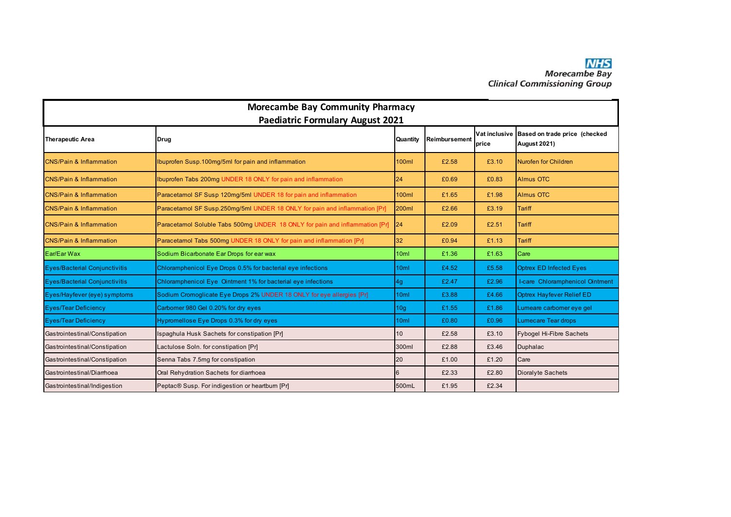| <b>Morecambe Bay Community Pharmacy</b><br><b>Paediatric Formulary August 2021</b> |                                                                             |                 |               |                        |                                                      |  |  |  |
|------------------------------------------------------------------------------------|-----------------------------------------------------------------------------|-----------------|---------------|------------------------|------------------------------------------------------|--|--|--|
| <b>Therapeutic Area</b>                                                            | Drug                                                                        | Quantity        | Reimbursement | Vat inclusive<br>price | Based on trade price (checked<br><b>August 2021)</b> |  |  |  |
| <b>CNS/Pain &amp; Inflammation</b>                                                 | Ibuprofen Susp.100mg/5ml for pain and inflammation                          | <b>100ml</b>    | £2.58         | £3.10                  | <b>Nurofen for Children</b>                          |  |  |  |
| <b>CNS/Pain &amp; Inflammation</b>                                                 | Ibuprofen Tabs 200mg UNDER 18 ONLY for pain and inflammation                | 24              | £0.69         | £0.83                  | <b>Almus OTC</b>                                     |  |  |  |
| <b>CNS/Pain &amp; Inflammation</b>                                                 | Paracetamol SF Susp 120mg/5ml UNDER 18 for pain and inflammation            | <b>100ml</b>    | £1.65         | £1.98                  | <b>Almus OTC</b>                                     |  |  |  |
| <b>CNS/Pain &amp; Inflammation</b>                                                 | Paracetamol SF Susp.250mg/5ml UNDER 18 ONLY for pain and inflammation [Pr]  | <b>200ml</b>    | £2.66         | £3.19                  | <b>Tariff</b>                                        |  |  |  |
| <b>CNS/Pain &amp; Inflammation</b>                                                 | Paracetamol Soluble Tabs 500mg UNDER 18 ONLY for pain and inflammation [Pr] | 24              | £2.09         | £2.51                  | <b>Tariff</b>                                        |  |  |  |
| <b>CNS/Pain &amp; Inflammation</b>                                                 | Paracetamol Tabs 500mg UNDER 18 ONLY for pain and inflammation [Pr]         | 32              | £0.94         | £1.13                  | Tariff                                               |  |  |  |
| Ear/Ear Wax                                                                        | Sodium Bicarbonate Ear Drops for ear wax                                    | 10ml            | £1.36         | £1.63                  | Care                                                 |  |  |  |
| <b>Eyes/Bacterial Conjunctivitis</b>                                               | Chloramphenicol Eye Drops 0.5% for bacterial eye infections                 | 10ml            | £4.52         | £5.58                  | <b>Optrex ED Infected Eyes</b>                       |  |  |  |
| <b>Eyes/Bacterial Conjunctivitis</b>                                               | Chloramphenicol Eye Ointment 1% for bacterial eye infections                | 4g              | £2.47         | £2.96                  | I-care Chloramphenicol Ointment                      |  |  |  |
| Eyes/Hayfever (eye) symptoms                                                       | Sodium Cromoglicate Eye Drops 2% UNDER 18 ONLY for eye allergies [Pr]       | 10ml            | £3.88         | £4.66                  | <b>Optrex Hayfever Relief ED</b>                     |  |  |  |
| <b>Eyes/Tear Deficiency</b>                                                        | Carbomer 980 Gel 0.20% for dry eyes                                         | 10 <sub>g</sub> | £1.55         | £1.86                  | Lumeare carbomer eye gel                             |  |  |  |
| <b>Eyes/Tear Deficiency</b>                                                        | Hypromellose Eye Drops 0.3% for dry eyes                                    | 10ml            | £0.80         | £0.96                  | <b>Lumecare Tear drops</b>                           |  |  |  |
| Gastrointestinal/Constipation                                                      | Ispaghula Husk Sachets for constipation [Pr]                                | 10 <sup>°</sup> | £2.58         | £3.10                  | <b>Fybogel Hi-Fibre Sachets</b>                      |  |  |  |
| Gastrointestinal/Constipation                                                      | Lactulose Soln. for constipation [Pr]                                       | 300ml           | £2.88         | £3.46                  | Duphalac                                             |  |  |  |
| Gastrointestinal/Constipation                                                      | Senna Tabs 7.5mg for constipation                                           | 20              | £1.00         | £1.20                  | Care                                                 |  |  |  |
| Gastrointestinal/Diarrhoea                                                         | Oral Rehydration Sachets for diarrhoea                                      | 6               | £2.33         | £2.80                  | Dioralyte Sachets                                    |  |  |  |
| Gastrointestinal/Indigestion                                                       | Peptac® Susp. For indigestion or heartburn [Pr]                             | 500mL           | £1.95         | £2.34                  |                                                      |  |  |  |